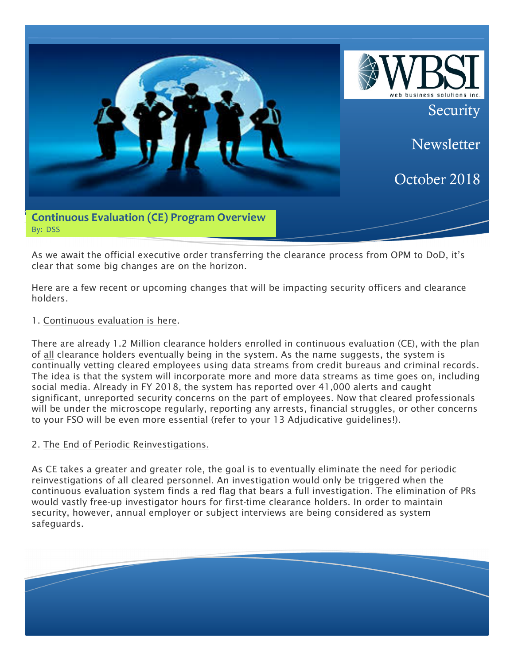

As we await the official executive order transferring the clearance process from OPM to DoD, it's clear that some big changes are on the horizon.

Here are a few recent or upcoming changes that will be impacting security officers and clearance holders.

# 1. Continuous evaluation is here.

There are already 1.2 Million clearance holders enrolled in continuous evaluation (CE), with the plan of all clearance holders eventually being in the system. As the name suggests, the system is continually vetting cleared employees using data streams from credit bureaus and criminal records. The idea is that the system will incorporate more and more data streams as time goes on, including social media. Already in FY 2018, the system has reported over 41,000 alerts and caught significant, unreported security concerns on the part of employees. Now that cleared professionals will be under the microscope regularly, reporting any arrests, financial struggles, or other concerns to your FSO will be even more essential (refer to your 13 Adjudicative guidelines!).

# 2. The End of Periodic Reinvestigations.

As CE takes a greater and greater role, the goal is to eventually eliminate the need for periodic reinvestigations of all cleared personnel. An investigation would only be triggered when the continuous evaluation system finds a red flag that bears a full investigation. The elimination of PRs would vastly free-up investigator hours for first-time clearance holders. In order to maintain security, however, annual employer or subject interviews are being considered as system safeguards.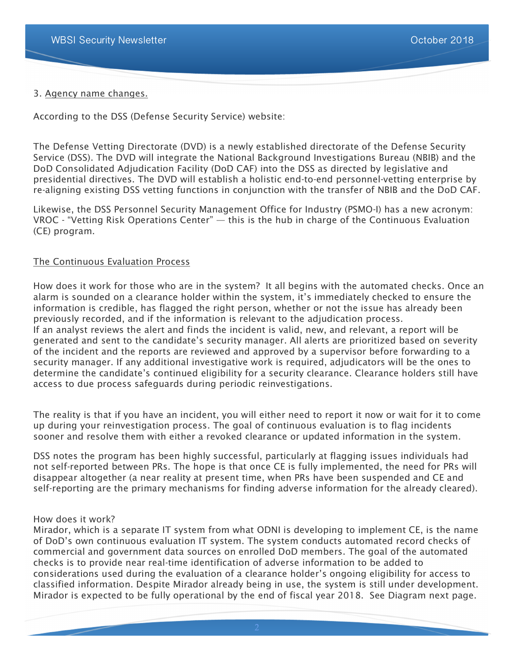### 3. Agency name changes.

According to the DSS (Defense Security Service) website:

The Defense Vetting Directorate (DVD) is a newly established directorate of the Defense Security Service (DSS). The DVD will integrate the National Background Investigations Bureau (NBIB) and the DoD Consolidated Adjudication Facility (DoD CAF) into the DSS as directed by legislative and presidential directives. The DVD will establish a holistic end-to-end personnel-vetting enterprise by re-aligning existing DSS vetting functions in conjunction with the transfer of NBIB and the DoD CAF.

Likewise, the DSS Personnel Security Management Office for Industry (PSMO-I) has a new acronym: VROC - "Vetting Risk Operations Center" — this is the hub in charge of the Continuous Evaluation (CE) program.

#### The Continuous Evaluation Process

How does it work for those who are in the system? It all begins with the automated checks. Once an alarm is sounded on a clearance holder within the system, it's immediately checked to ensure the information is credible, has flagged the right person, whether or not the issue has already been previously recorded, and if the information is relevant to the adjudication process. If an analyst reviews the alert and finds the incident is valid, new, and relevant, a report will be generated and sent to the candidate's security manager. All alerts are prioritized based on severity of the incident and the reports are reviewed and approved by a supervisor before forwarding to a security manager. If any additional investigative work is required, adjudicators will be the ones to determine the candidate's continued eligibility for a security clearance. Clearance holders still have access to due process safeguards during periodic reinvestigations.

The reality is that if you have an incident, you will either need to report it now or wait for it to come up during your reinvestigation process. The goal of continuous evaluation is to flag incidents sooner and resolve them with either a revoked clearance or updated information in the system.

DSS notes the program has been highly successful, particularly at flagging issues individuals had not self-reported between PRs. The hope is that once CE is fully implemented, the need for PRs will disappear altogether (a near reality at present time, when PRs have been suspended and CE and self-reporting are the primary mechanisms for finding adverse information for the already cleared).

#### How does it work?

Mirador, which is a separate IT system from what ODNI is developing to implement CE, is the name of DoD's own continuous evaluation IT system. The system conducts automated record checks of commercial and government data sources on enrolled DoD members. The goal of the automated checks is to provide near real-time identification of adverse information to be added to considerations used during the evaluation of a clearance holder's ongoing eligibility for access to classified information. Despite Mirador already being in use, the system is still under development. Mirador is expected to be fully operational by the end of fiscal year 2018. See Diagram next page.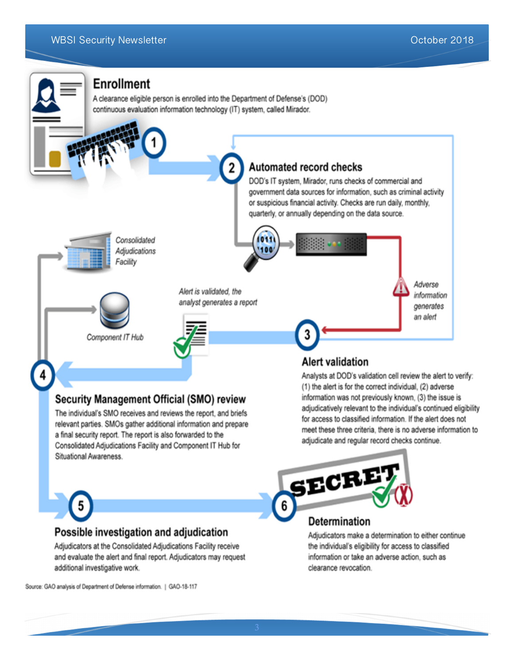

a final security report. The report is also forwarded to the Consolidated Adjudications Facility and Component IT Hub for Situational Awareness.

and evaluate the alert and final report. Adjudicators may request

adjudicatively relevant to the individual's continued eligibility meet these three criteria, there is no adverse information to adjudicate and regular record checks continue.



the individual's eligibility for access to classified information or take an adverse action, such as clearance revocation.

Source: GAO analysis of Department of Defense information. | GAO-18-117

additional investigative work.